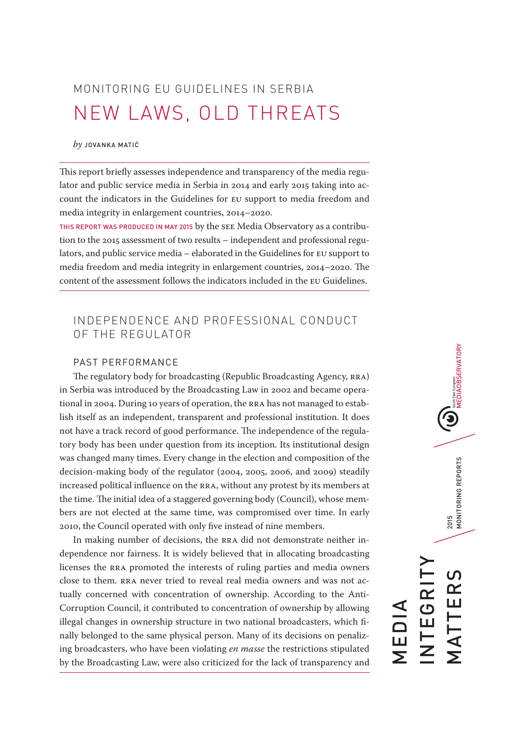MONITORING EU GUIDELINES IN SERBIA NEW LAWS, OLD THREATS

#### *by* JOVANKA MATIĆ

This report briefly assesses independence and transparency of the media regulator and public service media in Serbia in 2014 and early 2015 taking into account the indicators in the Guidelines for EU support to media freedom and media integrity in enlargement countries, 2014–2020.

THIS REPORT WAS PRODUCED IN MAY 2015 by the SEE Media Observatory as a contribution to the 2015 assessment of two results – independent and professional regulators, and public service media – elaborated in the Guidelines for EU support to media freedom and media integrity in enlargement countries, 2014–2020. The content of the assessment follows the indicators included in the EU Guidelines.

# INDEPENDENCE AND PROFESSIONAL CONDUCT OF THE REGULATOR

### PAST PERFORMANCE

The regulatory body for broadcasting (Republic Broadcasting Agency, RRA) in Serbia was introduced by the Broadcasting Law in 2002 and became operational in 2004. During 10 years of operation, the RRA has not managed to establish itself as an independent, transparent and professional institution. It does not have a track record of good performance. The independence of the regulatory body has been under question from its inception. Its institutional design was changed many times. Every change in the election and composition of the decision-making body of the regulator (2004, 2005, 2006, and 2009) steadily increased political influence on the RRA, without any protest by its members at the time. The initial idea of a staggered governing body (Council), whose members are not elected at the same time, was compromised over time. In early 2010, the Council operated with only five instead of nine members.

In making number of decisions, the RRA did not demonstrate neither independence nor fairness. It is widely believed that in allocating broadcasting licenses the RRA promoted the interests of ruling parties and media owners close to them. RRA never tried to reveal real media owners and was not actually concerned with concentration of ownership. According to the Anti-Corruption Council, it contributed to concentration of ownership by allowing illegal changes in ownership structure in two national broadcasters, which finally belonged to the same physical person. Many of its decisions on penalizing broadcasters, who have been violating *en masse* the restrictions stipulated by the Broadcasting Law, were also criticized for the lack of transparency and

# 2015<br>MONITORING REPORTS MATTERS 2015 MONITORING REPORTS INTEGRITY MATTER NTEGRI MEDIA

**DEDIAOBSERVATORY**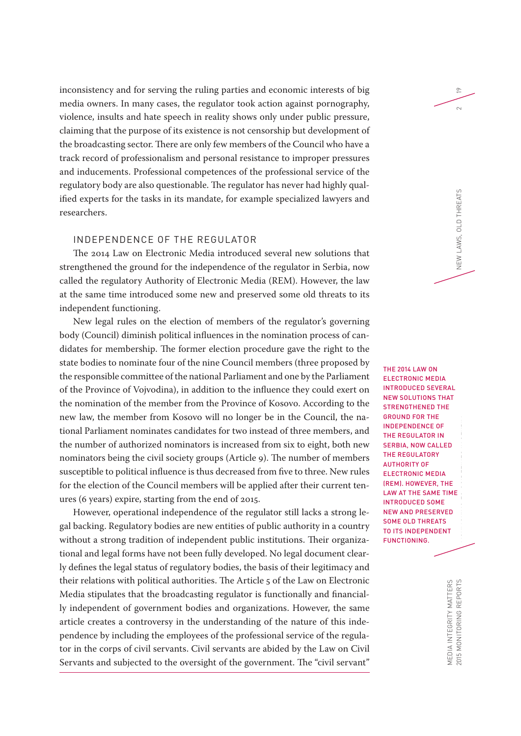inconsistency and for serving the ruling parties and economic interests of big media owners. In many cases, the regulator took action against pornography, violence, insults and hate speech in reality shows only under public pressure, claiming that the purpose of its existence is not censorship but development of the broadcasting sector. There are only few members of the Council who have a track record of professionalism and personal resistance to improper pressures and inducements. Professional competences of the professional service of the regulatory body are also questionable. The regulator has never had highly qualified experts for the tasks in its mandate, for example specialized lawyers and researchers.

## INDEPENDENCE OF THE REGULATOR

The 2014 Law on Electronic Media introduced several new solutions that strengthened the ground for the independence of the regulator in Serbia, now called the regulatory Authority of Electronic Media (REM). However, the law at the same time introduced some new and preserved some old threats to its independent functioning.

New legal rules on the election of members of the regulator's governing body (Council) diminish political influences in the nomination process of candidates for membership. The former election procedure gave the right to the state bodies to nominate four of the nine Council members (three proposed by the responsible committee of the national Parliament and one by the Parliament of the Province of Vojvodina), in addition to the influence they could exert on the nomination of the member from the Province of Kosovo. According to the new law, the member from Kosovo will no longer be in the Council, the national Parliament nominates candidates for two instead of three members, and the number of authorized nominators is increased from six to eight, both new nominators being the civil society groups (Article 9). The number of members susceptible to political influence is thus decreased from five to three. New rules for the election of the Council members will be applied after their current tenures (6 years) expire, starting from the end of 2015.

However, operational independence of the regulator still lacks a strong legal backing. Regulatory bodies are new entities of public authority in a country without a strong tradition of independent public institutions. Their organizational and legal forms have not been fully developed. No legal document clearly defines the legal status of regulatory bodies, the basis of their legitimacy and their relations with political authorities. The Article 5 of the Law on Electronic Media stipulates that the broadcasting regulator is functionally and financially independent of government bodies and organizations. However, the same article creates a controversy in the understanding of the nature of this independence by including the employees of the professional service of the regulator in the corps of civil servants. Civil servants are abided by the Law on Civil Servants and subjected to the oversight of the government. The "civil servant"

19

 $\sim$ 

**THE 2014 LAW ON** ELECTRONIC MEDIA INTRODUCED SEVERAL NEW SOLUTIONS THAT STRENGTHENED THE GROUND FOR THE INDEPENDENCE OF THE REGULATOR IN SERBIA, NOW CALLED THE REGULATORY AUTHORITY OF ELECTRONIC MEDIA (REM). HOWEVER, THE LAW AT THE SAME TIME INTRODUCED SOME NEW AND PRESERVED SOME OLD THREATS TO ITS INDEPENDENT FUNCTIONING.

> MEDIA INTEGRITY MATTERS<br>2015 MONITORING REPORTS MEDIA INTEGRITY MATTERS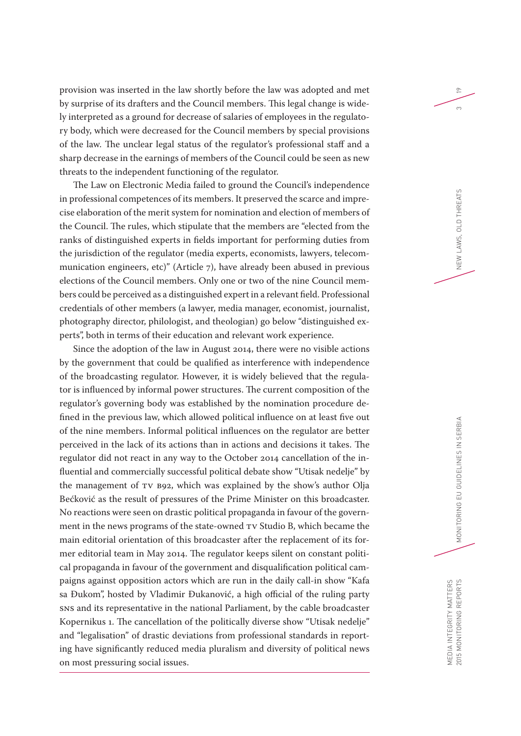provision was inserted in the law shortly before the law was adopted and met by surprise of its drafters and the Council members. This legal change is widely interpreted as a ground for decrease of salaries of employees in the regulatory body, which were decreased for the Council members by special provisions of the law. The unclear legal status of the regulator's professional staff and a sharp decrease in the earnings of members of the Council could be seen as new threats to the independent functioning of the regulator.

The Law on Electronic Media failed to ground the Council's independence in professional competences of its members. It preserved the scarce and imprecise elaboration of the merit system for nomination and election of members of the Council. The rules, which stipulate that the members are "elected from the ranks of distinguished experts in fields important for performing duties from the jurisdiction of the regulator (media experts, economists, lawyers, telecommunication engineers, etc)" (Article 7), have already been abused in previous elections of the Council members. Only one or two of the nine Council members could be perceived as a distinguished expert in a relevant field. Professional credentials of other members (a lawyer, media manager, economist, journalist, photography director, philologist, and theologian) go below "distinguished experts", both in terms of their education and relevant work experience.

Since the adoption of the law in August 2014, there were no visible actions by the government that could be qualified as interference with independence of the broadcasting regulator. However, it is widely believed that the regulator is influenced by informal power structures. The current composition of the regulator's governing body was established by the nomination procedure defined in the previous law, which allowed political influence on at least five out of the nine members. Informal political influences on the regulator are better perceived in the lack of its actions than in actions and decisions it takes. The regulator did not react in any way to the October 2014 cancellation of the influential and commercially successful political debate show "Utisak nedelje" by the management of TV B92, which was explained by the show's author Olja Bećković as the result of pressures of the Prime Minister on this broadcaster. No reactions were seen on drastic political propaganda in favour of the government in the news programs of the state-owned TV Studio B, which became the main editorial orientation of this broadcaster after the replacement of its former editorial team in May 2014. The regulator keeps silent on constant political propaganda in favour of the government and disqualification political campaigns against opposition actors which are run in the daily call-in show "Kafa sa Đukom", hosted by Vladimir Đukanović, a high official of the ruling party SNS and its representative in the national Parliament, by the cable broadcaster Kopernikus 1. The cancellation of the politically diverse show "Utisak nedelje" and "legalisation" of drastic deviations from professional standards in reporting have significantly reduced media pluralism and diversity of political news on most pressuring social issues.

19

 $\infty$ 

MEDIA INTEGRITY MATTERS<br>2015 MONITORING REPORTS MEDIA INTEGRITY MATTERS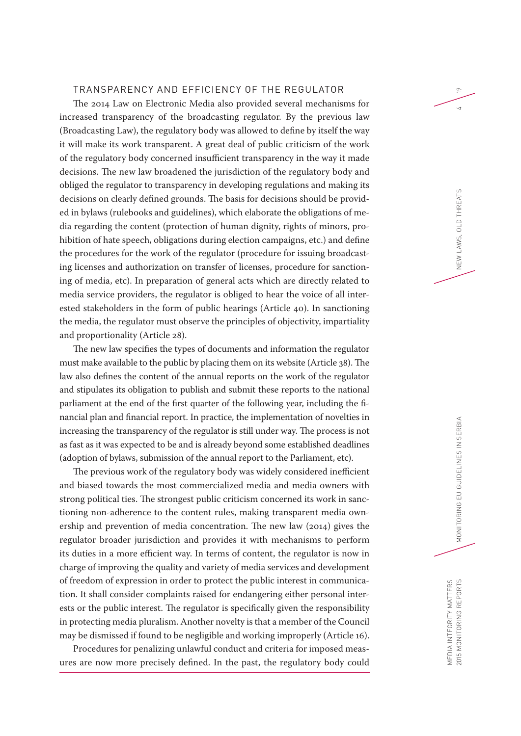#### TRANSPARENCY AND EFFICIENCY OF THE REGULATOR

The 2014 Law on Electronic Media also provided several mechanisms for increased transparency of the broadcasting regulator. By the previous law (Broadcasting Law), the regulatory body was allowed to define by itself the way it will make its work transparent. A great deal of public criticism of the work of the regulatory body concerned insufficient transparency in the way it made decisions. The new law broadened the jurisdiction of the regulatory body and obliged the regulator to transparency in developing regulations and making its decisions on clearly defined grounds. The basis for decisions should be provided in bylaws (rulebooks and guidelines), which elaborate the obligations of media regarding the content (protection of human dignity, rights of minors, prohibition of hate speech, obligations during election campaigns, etc.) and define the procedures for the work of the regulator (procedure for issuing broadcasting licenses and authorization on transfer of licenses, procedure for sanctioning of media, etc). In preparation of general acts which are directly related to media service providers, the regulator is obliged to hear the voice of all interested stakeholders in the form of public hearings (Article 40). In sanctioning the media, the regulator must observe the principles of objectivity, impartiality and proportionality (Article 28).

The new law specifies the types of documents and information the regulator must make available to the public by placing them on its website (Article 38). The law also defines the content of the annual reports on the work of the regulator and stipulates its obligation to publish and submit these reports to the national parliament at the end of the first quarter of the following year, including the financial plan and financial report. In practice, the implementation of novelties in increasing the transparency of the regulator is still under way. The process is not as fast as it was expected to be and is already beyond some established deadlines (adoption of bylaws, submission of the annual report to the Parliament, etc).

The previous work of the regulatory body was widely considered inefficient and biased towards the most commercialized media and media owners with strong political ties. The strongest public criticism concerned its work in sanctioning non-adherence to the content rules, making transparent media ownership and prevention of media concentration. The new law (2014) gives the regulator broader jurisdiction and provides it with mechanisms to perform its duties in a more efficient way. In terms of content, the regulator is now in charge of improving the quality and variety of media services and development of freedom of expression in order to protect the public interest in communication. It shall consider complaints raised for endangering either personal interests or the public interest. The regulator is specifically given the responsibility in protecting media pluralism. Another novelty is that a member of the Council may be dismissed if found to be negligible and working improperly (Article 16).

Procedures for penalizing unlawful conduct and criteria for imposed measures are now more precisely defined. In the past, the regulatory body could 19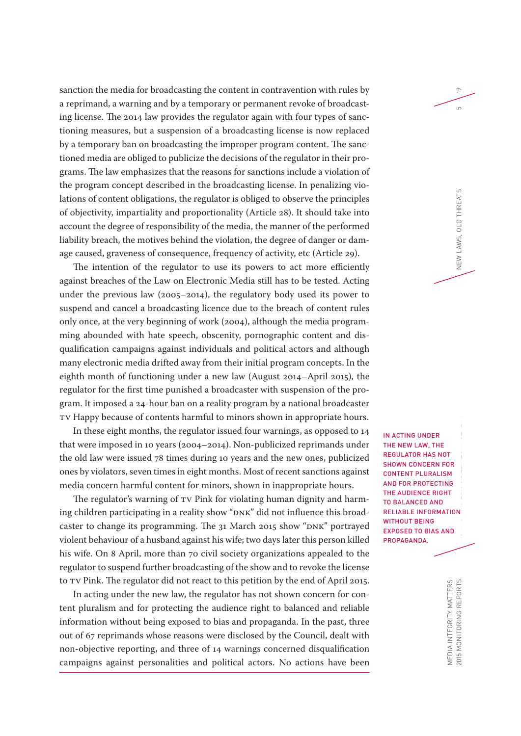sanction the media for broadcasting the content in contravention with rules by a reprimand, a warning and by a temporary or permanent revoke of broadcasting license. The 2014 law provides the regulator again with four types of sanctioning measures, but a suspension of a broadcasting license is now replaced by a temporary ban on broadcasting the improper program content. The sanctioned media are obliged to publicize the decisions of the regulator in their programs. The law emphasizes that the reasons for sanctions include a violation of the program concept described in the broadcasting license. In penalizing violations of content obligations, the regulator is obliged to observe the principles of objectivity, impartiality and proportionality (Article 28). It should take into account the degree of responsibility of the media, the manner of the performed liability breach, the motives behind the violation, the degree of danger or damage caused, graveness of consequence, frequency of activity, etc (Article 29).

The intention of the regulator to use its powers to act more efficiently against breaches of the Law on Electronic Media still has to be tested. Acting under the previous law (2005–2014), the regulatory body used its power to suspend and cancel a broadcasting licence due to the breach of content rules only once, at the very beginning of work (2004), although the media programming abounded with hate speech, obscenity, pornographic content and disqualification campaigns against individuals and political actors and although many electronic media drifted away from their initial program concepts. In the eighth month of functioning under a new law (August 2014–April 2015), the regulator for the first time punished a broadcaster with suspension of the program. It imposed a 24-hour ban on a reality program by a national broadcaster TV Happy because of contents harmful to minors shown in appropriate hours.

In these eight months, the regulator issued four warnings, as opposed to 14 that were imposed in 10 years (2004–2014). Non-publicized reprimands under the old law were issued 78 times during 10 years and the new ones, publicized ones by violators, seven times in eight months. Most of recent sanctions against media concern harmful content for minors, shown in inappropriate hours.

The regulator's warning of TV Pink for violating human dignity and harming children participating in a reality show "DNK" did not influence this broadcaster to change its programming. The 31 March 2015 show "DNK" portrayed violent behaviour of a husband against his wife; two days later this person killed his wife. On 8 April, more than 70 civil society organizations appealed to the regulator to suspend further broadcasting of the show and to revoke the license to TV Pink. The regulator did not react to this petition by the end of April 2015.

In acting under the new law, the regulator has not shown concern for content pluralism and for protecting the audience right to balanced and reliable information without being exposed to bias and propaganda. In the past, three out of 67 reprimands whose reasons were disclosed by the Council, dealt with non-objective reporting, and three of 14 warnings concerned disqualification campaigns against personalities and political actors. No actions have been

IN ACTING UNDER THE NEW LAW, THE REGULATOR HAS NOT SHOWN CONCERN FOR CONTENT PLURALISM AND FOR PROTECTING THE AUDIENCE RIGHT TO BALANCED AND RELIABLE INFORMATION WITHOUT BEING EXPOSED TO BIAS AND PROPAGANDA.

19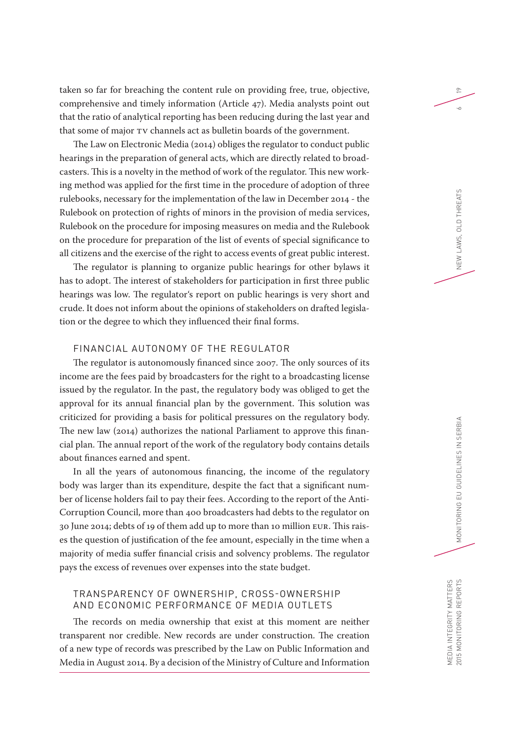taken so far for breaching the content rule on providing free, true, objective, comprehensive and timely information (Article 47). Media analysts point out that the ratio of analytical reporting has been reducing during the last year and that some of major TV channels act as bulletin boards of the government.

The Law on Electronic Media (2014) obliges the regulator to conduct public hearings in the preparation of general acts, which are directly related to broadcasters. This is a novelty in the method of work of the regulator. This new working method was applied for the first time in the procedure of adoption of three rulebooks, necessary for the implementation of the law in December 2014 - the Rulebook on protection of rights of minors in the provision of media services, Rulebook on the procedure for imposing measures on media and the Rulebook on the procedure for preparation of the list of events of special significance to all citizens and the exercise of the right to access events of great public interest.

The regulator is planning to organize public hearings for other bylaws it has to adopt. The interest of stakeholders for participation in first three public hearings was low. The regulator's report on public hearings is very short and crude. It does not inform about the opinions of stakeholders on drafted legislation or the degree to which they influenced their final forms.

#### FINANCIAL AUTONOMY OF THE REGULATOR

The regulator is autonomously financed since 2007. The only sources of its income are the fees paid by broadcasters for the right to a broadcasting license issued by the regulator. In the past, the regulatory body was obliged to get the approval for its annual financial plan by the government. This solution was criticized for providing a basis for political pressures on the regulatory body. The new law (2014) authorizes the national Parliament to approve this financial plan. The annual report of the work of the regulatory body contains details about finances earned and spent.

In all the years of autonomous financing, the income of the regulatory body was larger than its expenditure, despite the fact that a significant number of license holders fail to pay their fees. According to the report of the Anti-Corruption Council, more than 400 broadcasters had debts to the regulator on 30 June 2014; debts of 19 of them add up to more than 10 million EUR. This raises the question of justification of the fee amount, especially in the time when a majority of media suffer financial crisis and solvency problems. The regulator pays the excess of revenues over expenses into the state budget.

#### TRANSPARENCY OF OWNERSHIP, CROSS-OWNERSHIP AND ECONOMIC PERFORMANCE OF MEDIA OUTLETS

The records on media ownership that exist at this moment are neither transparent nor credible. New records are under construction. The creation of a new type of records was prescribed by the Law on Public Information and Media in August 2014. By a decision of the Ministry of Culture and Information 19

 $\sim$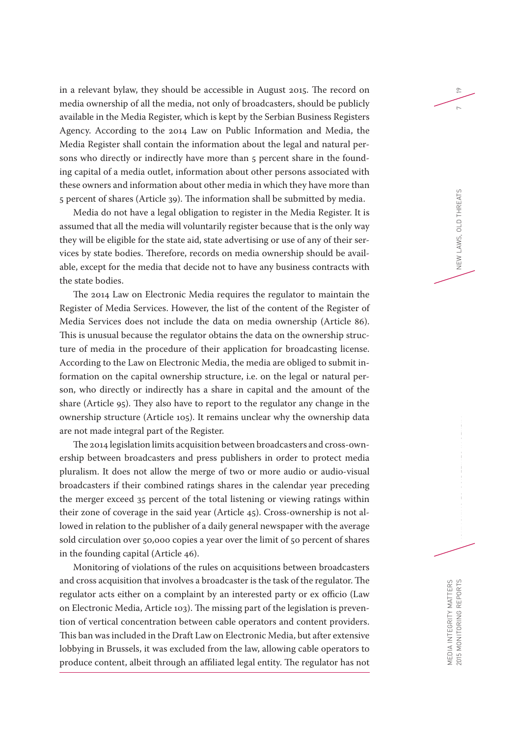in a relevant bylaw, they should be accessible in August 2015. The record on media ownership of all the media, not only of broadcasters, should be publicly available in the Media Register, which is kept by the Serbian Business Registers Agency. According to the 2014 Law on Public Information and Media, the Media Register shall contain the information about the legal and natural persons who directly or indirectly have more than 5 percent share in the founding capital of a media outlet, information about other persons associated with these owners and information about other media in which they have more than 5 percent of shares (Article 39). The information shall be submitted by media.

Media do not have a legal obligation to register in the Media Register. It is assumed that all the media will voluntarily register because that is the only way they will be eligible for the state aid, state advertising or use of any of their services by state bodies. Therefore, records on media ownership should be available, except for the media that decide not to have any business contracts with the state bodies.

The 2014 Law on Electronic Media requires the regulator to maintain the Register of Media Services. However, the list of the content of the Register of Media Services does not include the data on media ownership (Article 86). This is unusual because the regulator obtains the data on the ownership structure of media in the procedure of their application for broadcasting license. According to the Law on Electronic Media, the media are obliged to submit information on the capital ownership structure, i.e. on the legal or natural person, who directly or indirectly has a share in capital and the amount of the share (Article 95). They also have to report to the regulator any change in the ownership structure (Article 105). It remains unclear why the ownership data are not made integral part of the Register.

The 2014 legislation limits acquisition between broadcasters and cross-ownership between broadcasters and press publishers in order to protect media pluralism. It does not allow the merge of two or more audio or audio-visual broadcasters if their combined ratings shares in the calendar year preceding the merger exceed 35 percent of the total listening or viewing ratings within their zone of coverage in the said year (Article 45). Cross-ownership is not allowed in relation to the publisher of a daily general newspaper with the average sold circulation over 50,000 copies a year over the limit of 50 percent of shares in the founding capital (Article 46).

Monitoring of violations of the rules on acquisitions between broadcasters and cross acquisition that involves a broadcaster is the task of the regulator. The regulator acts either on a complaint by an interested party or ex officio (Law on Electronic Media, Article 103). The missing part of the legislation is prevention of vertical concentration between cable operators and content providers. This ban was included in the Draft Law on Electronic Media, but after extensive lobbying in Brussels, it was excluded from the law, allowing cable operators to produce content, albeit through an affiliated legal entity. The regulator has not

19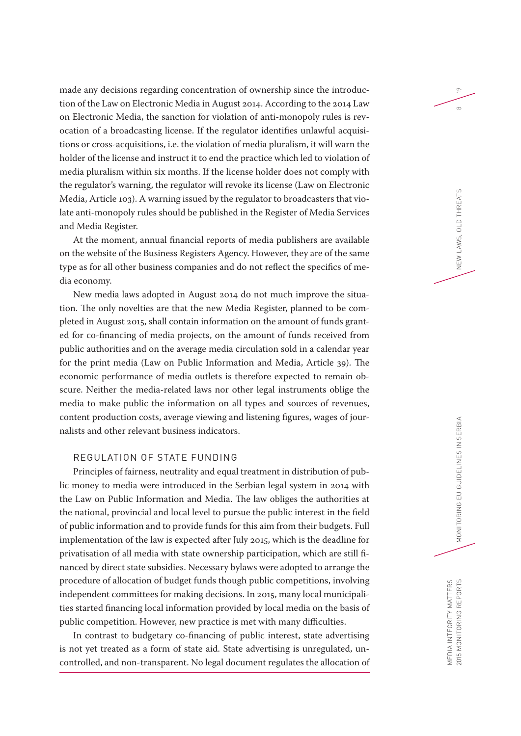made any decisions regarding concentration of ownership since the introduction of the Law on Electronic Media in August 2014. According to the 2014 Law on Electronic Media, the sanction for violation of anti-monopoly rules is revocation of a broadcasting license. If the regulator identifies unlawful acquisitions or cross-acquisitions, i.e. the violation of media pluralism, it will warn the holder of the license and instruct it to end the practice which led to violation of media pluralism within six months. If the license holder does not comply with the regulator's warning, the regulator will revoke its license (Law on Electronic Media, Article 103). A warning issued by the regulator to broadcasters that violate anti-monopoly rules should be published in the Register of Media Services and Media Register.

At the moment, annual financial reports of media publishers are available on the website of the Business Registers Agency. However, they are of the same type as for all other business companies and do not reflect the specifics of media economy.

New media laws adopted in August 2014 do not much improve the situation. The only novelties are that the new Media Register, planned to be completed in August 2015, shall contain information on the amount of funds granted for co-financing of media projects, on the amount of funds received from public authorities and on the average media circulation sold in a calendar year for the print media (Law on Public Information and Media, Article 39). The economic performance of media outlets is therefore expected to remain obscure. Neither the media-related laws nor other legal instruments oblige the media to make public the information on all types and sources of revenues, content production costs, average viewing and listening figures, wages of journalists and other relevant business indicators.

## REGULATION OF STATE FUNDING

Principles of fairness, neutrality and equal treatment in distribution of public money to media were introduced in the Serbian legal system in 2014 with the Law on Public Information and Media. The law obliges the authorities at the national, provincial and local level to pursue the public interest in the field of public information and to provide funds for this aim from their budgets. Full implementation of the law is expected after July 2015, which is the deadline for privatisation of all media with state ownership participation, which are still financed by direct state subsidies. Necessary bylaws were adopted to arrange the procedure of allocation of budget funds though public competitions, involving independent committees for making decisions. In 2015, many local municipalities started financing local information provided by local media on the basis of public competition. However, new practice is met with many difficulties.

In contrast to budgetary co-financing of public interest, state advertising is not yet treated as a form of state aid. State advertising is unregulated, uncontrolled, and non-transparent. No legal document regulates the allocation of 19

 $\infty$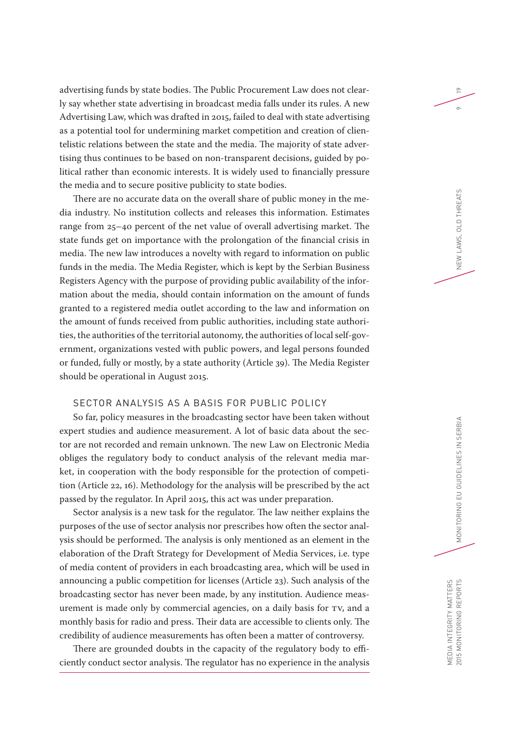advertising funds by state bodies. The Public Procurement Law does not clearly say whether state advertising in broadcast media falls under its rules. A new Advertising Law, which was drafted in 2015, failed to deal with state advertising as a potential tool for undermining market competition and creation of clientelistic relations between the state and the media. The majority of state advertising thus continues to be based on non-transparent decisions, guided by political rather than economic interests. It is widely used to financially pressure the media and to secure positive publicity to state bodies.

There are no accurate data on the overall share of public money in the media industry. No institution collects and releases this information. Estimates range from 25–40 percent of the net value of overall advertising market. The state funds get on importance with the prolongation of the financial crisis in media. The new law introduces a novelty with regard to information on public funds in the media. The Media Register, which is kept by the Serbian Business Registers Agency with the purpose of providing public availability of the information about the media, should contain information on the amount of funds granted to a registered media outlet according to the law and information on the amount of funds received from public authorities, including state authorities, the authorities of the territorial autonomy, the authorities of local self-government, organizations vested with public powers, and legal persons founded or funded, fully or mostly, by a state authority (Article 39). The Media Register should be operational in August 2015.

#### SECTOR ANALYSIS AS A BASIS FOR PUBLIC POLICY

So far, policy measures in the broadcasting sector have been taken without expert studies and audience measurement. A lot of basic data about the sector are not recorded and remain unknown. The new Law on Electronic Media obliges the regulatory body to conduct analysis of the relevant media market, in cooperation with the body responsible for the protection of competition (Article 22, 16). Methodology for the analysis will be prescribed by the act passed by the regulator. In April 2015, this act was under preparation.

Sector analysis is a new task for the regulator. The law neither explains the purposes of the use of sector analysis nor prescribes how often the sector analysis should be performed. The analysis is only mentioned as an element in the elaboration of the Draft Strategy for Development of Media Services, i.e. type of media content of providers in each broadcasting area, which will be used in announcing a public competition for licenses (Article 23). Such analysis of the broadcasting sector has never been made, by any institution. Audience measurement is made only by commercial agencies, on a daily basis for TV, and a monthly basis for radio and press. Their data are accessible to clients only. The credibility of audience measurements has often been a matter of controversy.

There are grounded doubts in the capacity of the regulatory body to efficiently conduct sector analysis. The regulator has no experience in the analysis 19

 $\circ$ 

NEW LAWS, OLD THREATS

MEDIA INTEGRITY MATTERS

MEDIA INTEGRITY MATTERS<br>2015 MONITORING REPORTS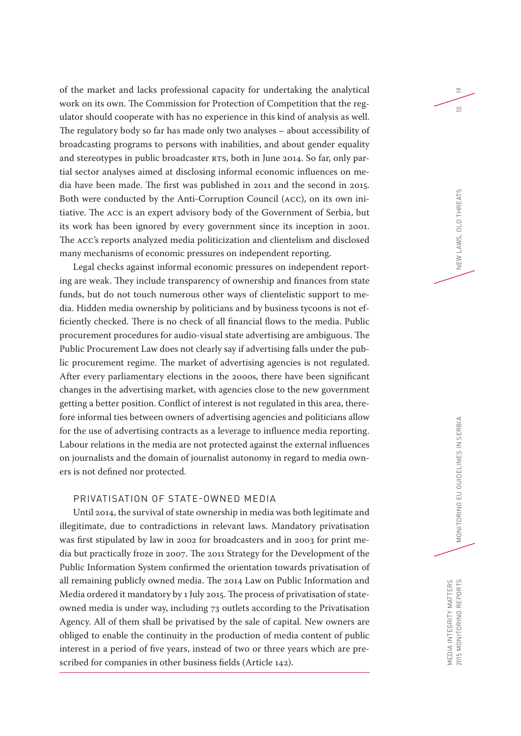of the market and lacks professional capacity for undertaking the analytical work on its own. The Commission for Protection of Competition that the regulator should cooperate with has no experience in this kind of analysis as well. The regulatory body so far has made only two analyses – about accessibility of broadcasting programs to persons with inabilities, and about gender equality and stereotypes in public broadcaster RTS, both in June 2014. So far, only partial sector analyses aimed at disclosing informal economic influences on media have been made. The first was published in 2011 and the second in 2015. Both were conducted by the Anti-Corruption Council (ACC), on its own initiative. The ACC is an expert advisory body of the Government of Serbia, but its work has been ignored by every government since its inception in 2001. The ACC's reports analyzed media politicization and clientelism and disclosed many mechanisms of economic pressures on independent reporting.

Legal checks against informal economic pressures on independent reporting are weak. They include transparency of ownership and finances from state funds, but do not touch numerous other ways of clientelistic support to media. Hidden media ownership by politicians and by business tycoons is not efficiently checked. There is no check of all financial flows to the media. Public procurement procedures for audio-visual state advertising are ambiguous. The Public Procurement Law does not clearly say if advertising falls under the public procurement regime. The market of advertising agencies is not regulated. After every parliamentary elections in the 2000s, there have been significant changes in the advertising market, with agencies close to the new government getting a better position. Conflict of interest is not regulated in this area, therefore informal ties between owners of advertising agencies and politicians allow for the use of advertising contracts as a leverage to influence media reporting. Labour relations in the media are not protected against the external influences on journalists and the domain of journalist autonomy in regard to media owners is not defined nor protected.

#### PRIVATISATION OF STATE-OWNED MEDIA

Until 2014, the survival of state ownership in media was both legitimate and illegitimate, due to contradictions in relevant laws. Mandatory privatisation was first stipulated by law in 2002 for broadcasters and in 2003 for print media but practically froze in 2007. The 2011 Strategy for the Development of the Public Information System confirmed the orientation towards privatisation of all remaining publicly owned media. The 2014 Law on Public Information and Media ordered it mandatory by 1 July 2015. The process of privatisation of stateowned media is under way, including 73 outlets according to the Privatisation Agency. All of them shall be privatised by the sale of capital. New owners are obliged to enable the continuity in the production of media content of public interest in a period of five years, instead of two or three years which are prescribed for companies in other business fields (Article 142).

19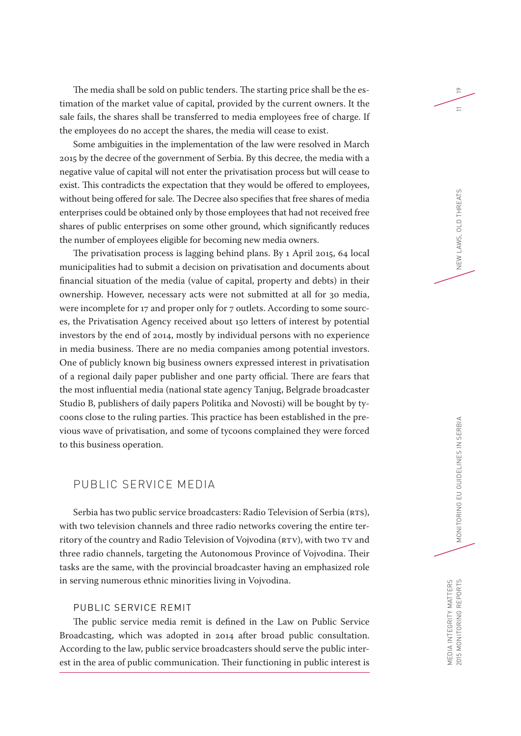The media shall be sold on public tenders. The starting price shall be the estimation of the market value of capital, provided by the current owners. It the sale fails, the shares shall be transferred to media employees free of charge. If the employees do no accept the shares, the media will cease to exist.

Some ambiguities in the implementation of the law were resolved in March 2015 by the decree of the government of Serbia. By this decree, the media with a negative value of capital will not enter the privatisation process but will cease to exist. This contradicts the expectation that they would be offered to employees, without being offered for sale. The Decree also specifies that free shares of media enterprises could be obtained only by those employees that had not received free shares of public enterprises on some other ground, which significantly reduces the number of employees eligible for becoming new media owners.

The privatisation process is lagging behind plans. By 1 April 2015, 64 local municipalities had to submit a decision on privatisation and documents about financial situation of the media (value of capital, property and debts) in their ownership. However, necessary acts were not submitted at all for 30 media, were incomplete for 17 and proper only for 7 outlets. According to some sources, the Privatisation Agency received about 150 letters of interest by potential investors by the end of 2014, mostly by individual persons with no experience in media business. There are no media companies among potential investors. One of publicly known big business owners expressed interest in privatisation of a regional daily paper publisher and one party official. There are fears that the most influential media (national state agency Tanjug, Belgrade broadcaster Studio B, publishers of daily papers Politika and Novosti) will be bought by tycoons close to the ruling parties. This practice has been established in the previous wave of privatisation, and some of tycoons complained they were forced to this business operation.

## PUBLIC SERVICE MEDIA

Serbia has two public service broadcasters: Radio Television of Serbia (RTS), with two television channels and three radio networks covering the entire territory of the country and Radio Television of Vojvodina (RTV), with two TV and three radio channels, targeting the Autonomous Province of Vojvodina. Their tasks are the same, with the provincial broadcaster having an emphasized role in serving numerous ethnic minorities living in Vojvodina.

## PUBLIC SERVICE REMIT

The public service media remit is defined in the Law on Public Service Broadcasting, which was adopted in 2014 after broad public consultation. According to the law, public service broadcasters should serve the public interest in the area of public communication. Their functioning in public interest is 19

 $\equiv$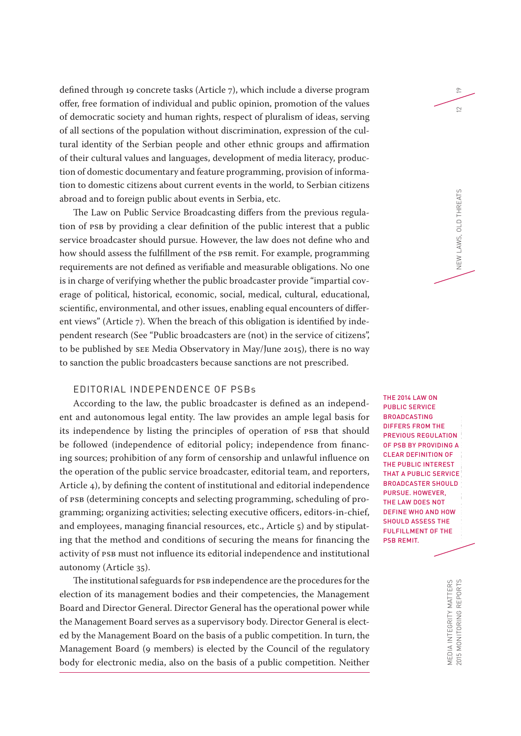defined through 19 concrete tasks (Article 7), which include a diverse program offer, free formation of individual and public opinion, promotion of the values of democratic society and human rights, respect of pluralism of ideas, serving of all sections of the population without discrimination, expression of the cultural identity of the Serbian people and other ethnic groups and affirmation of their cultural values and languages, development of media literacy, production of domestic documentary and feature programming, provision of information to domestic citizens about current events in the world, to Serbian citizens abroad and to foreign public about events in Serbia, etc.

The Law on Public Service Broadcasting differs from the previous regulation of PSB by providing a clear definition of the public interest that a public service broadcaster should pursue. However, the law does not define who and how should assess the fulfillment of the PSB remit. For example, programming requirements are not defined as verifiable and measurable obligations. No one is in charge of verifying whether the public broadcaster provide "impartial coverage of political, historical, economic, social, medical, cultural, educational, scientific, environmental, and other issues, enabling equal encounters of different views" (Article 7). When the breach of this obligation is identified by independent research (See "Public broadcasters are (not) in the service of citizens", to be published by SEE Media Observatory in May/June 2015), there is no way to sanction the public broadcasters because sanctions are not prescribed.

#### EDITORIAL INDEPENDENCE OF PSBs

According to the law, the public broadcaster is defined as an independent and autonomous legal entity. The law provides an ample legal basis for its independence by listing the principles of operation of PSB that should be followed (independence of editorial policy; independence from financing sources; prohibition of any form of censorship and unlawful influence on the operation of the public service broadcaster, editorial team, and reporters, Article 4), by defining the content of institutional and editorial independence of PSB (determining concepts and selecting programming, scheduling of programming; organizing activities; selecting executive officers, editors-in-chief, and employees, managing financial resources, etc., Article 5) and by stipulating that the method and conditions of securing the means for financing the activity of PSB must not influence its editorial independence and institutional autonomy (Article 35).

The institutional safeguards for PSB independence are the procedures for the election of its management bodies and their competencies, the Management Board and Director General. Director General has the operational power while the Management Board serves as a supervisory body. Director General is elected by the Management Board on the basis of a public competition. In turn, the Management Board (9 members) is elected by the Council of the regulatory body for electronic media, also on the basis of a public competition. Neither

**THE 2014 LAW ON** PUBLIC SERVICE BROADCASTING DIFFERS FROM THE PREVIOUS REGULATION OF PSB BY PROVIDING A CLEAR DEFINITION OF THE PUBLIC INTEREST THAT A PUBLIC SERVICE BROADCASTER SHOULD PURSUE. HOWEVER, THE LAW DOES NOT DEFINE WHO AND HOW SHOULD ASSESS THE FULFILLMENT OF THE PSB REMIT.

19

 $\subseteq$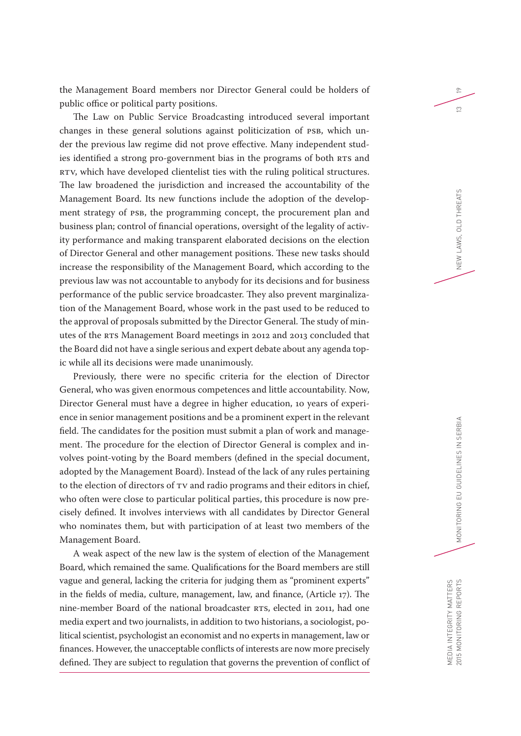the Management Board members nor Director General could be holders of public office or political party positions.

The Law on Public Service Broadcasting introduced several important changes in these general solutions against politicization of PSB, which under the previous law regime did not prove effective. Many independent studies identified a strong pro-government bias in the programs of both RTS and RTV, which have developed clientelist ties with the ruling political structures. The law broadened the jurisdiction and increased the accountability of the Management Board. Its new functions include the adoption of the development strategy of PSB, the programming concept, the procurement plan and business plan; control of financial operations, oversight of the legality of activity performance and making transparent elaborated decisions on the election of Director General and other management positions. These new tasks should increase the responsibility of the Management Board, which according to the previous law was not accountable to anybody for its decisions and for business performance of the public service broadcaster. They also prevent marginalization of the Management Board, whose work in the past used to be reduced to the approval of proposals submitted by the Director General. The study of minutes of the RTS Management Board meetings in 2012 and 2013 concluded that the Board did not have a single serious and expert debate about any agenda topic while all its decisions were made unanimously.

Previously, there were no specific criteria for the election of Director General, who was given enormous competences and little accountability. Now, Director General must have a degree in higher education, 10 years of experience in senior management positions and be a prominent expert in the relevant field. The candidates for the position must submit a plan of work and management. The procedure for the election of Director General is complex and involves point-voting by the Board members (defined in the special document, adopted by the Management Board). Instead of the lack of any rules pertaining to the election of directors of TV and radio programs and their editors in chief, who often were close to particular political parties, this procedure is now precisely defined. It involves interviews with all candidates by Director General who nominates them, but with participation of at least two members of the Management Board.

A weak aspect of the new law is the system of election of the Management Board, which remained the same. Qualifications for the Board members are still vague and general, lacking the criteria for judging them as "prominent experts" in the fields of media, culture, management, law, and finance, (Article 17). The nine-member Board of the national broadcaster RTS, elected in 2011, had one media expert and two journalists, in addition to two historians, a sociologist, political scientist, psychologist an economist and no experts in management, law or finances. However, the unacceptable conflicts of interests are now more precisely defined. They are subject to regulation that governs the prevention of conflict of 19

 $\tilde{c}$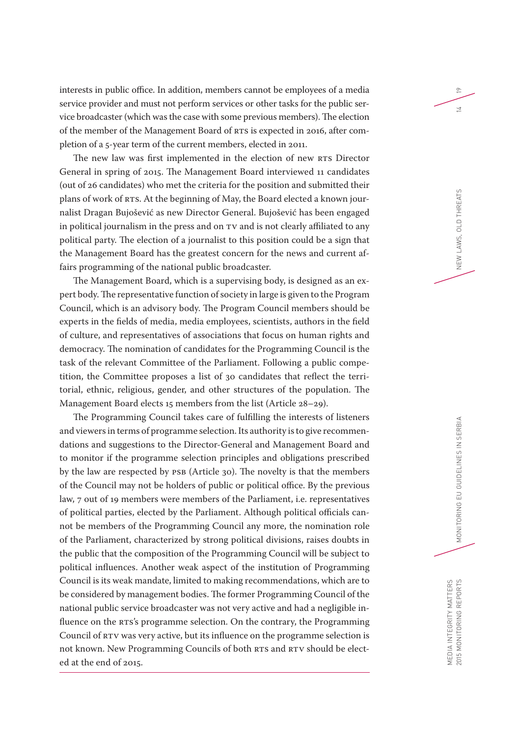interests in public office. In addition, members cannot be employees of a media service provider and must not perform services or other tasks for the public service broadcaster (which was the case with some previous members). The election of the member of the Management Board of RTS is expected in 2016, after completion of a 5-year term of the current members, elected in 2011.

The new law was first implemented in the election of new RTS Director General in spring of 2015. The Management Board interviewed 11 candidates (out of 26 candidates) who met the criteria for the position and submitted their plans of work of RTS. At the beginning of May, the Board elected a known journalist Dragan Bujošević as new Director General. Bujošević has been engaged in political journalism in the press and on TV and is not clearly affiliated to any political party. The election of a journalist to this position could be a sign that the Management Board has the greatest concern for the news and current affairs programming of the national public broadcaster.

The Management Board, which is a supervising body, is designed as an expert body. The representative function of society in large is given to the Program Council, which is an advisory body. The Program Council members should be experts in the fields of media, media employees, scientists, authors in the field of culture, and representatives of associations that focus on human rights and democracy. The nomination of candidates for the Programming Council is the task of the relevant Committee of the Parliament. Following a public competition, the Committee proposes a list of 30 candidates that reflect the territorial, ethnic, religious, gender, and other structures of the population. The Management Board elects 15 members from the list (Article 28–29).

The Programming Council takes care of fulfilling the interests of listeners and viewers in terms of programme selection. Its authority is to give recommendations and suggestions to the Director-General and Management Board and to monitor if the programme selection principles and obligations prescribed by the law are respected by PSB (Article 30). The novelty is that the members of the Council may not be holders of public or political office. By the previous law, 7 out of 19 members were members of the Parliament, i.e. representatives of political parties, elected by the Parliament. Although political officials cannot be members of the Programming Council any more, the nomination role of the Parliament, characterized by strong political divisions, raises doubts in the public that the composition of the Programming Council will be subject to political influences. Another weak aspect of the institution of Programming Council is its weak mandate, limited to making recommendations, which are to be considered by management bodies. The former Programming Council of the national public service broadcaster was not very active and had a negligible influence on the RTS's programme selection. On the contrary, the Programming Council of RTV was very active, but its influence on the programme selection is not known. New Programming Councils of both RTS and RTV should be elected at the end of 2015.

19

 $\geq$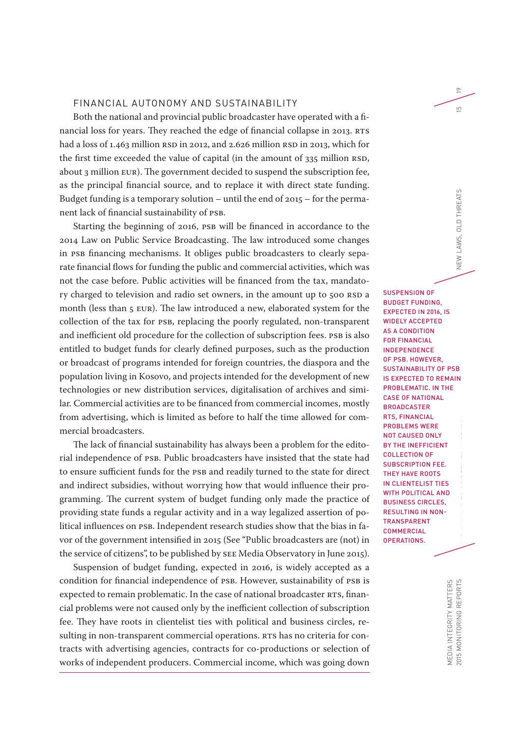#### FINANCIAL AUTONOMY AND SUSTAINABILITY

Both the national and provincial public broadcaster have operated with a financial loss for years. They reached the edge of financial collapse in 2013. RTS had a loss of 1.463 million RSD in 2012, and 2.626 million RSD in 2013, which for the first time exceeded the value of capital (in the amount of 335 million RSD, about 3 million EUR). The government decided to suspend the subscription fee, as the principal financial source, and to replace it with direct state funding. Budget funding is a temporary solution – until the end of 2015 – for the permanent lack of financial sustainability of PSB.

Starting the beginning of 2016, PSB will be financed in accordance to the 2014 Law on Public Service Broadcasting. The law introduced some changes in PSB financing mechanisms. It obliges public broadcasters to clearly separate financial flows for funding the public and commercial activities, which was not the case before. Public activities will be financed from the tax, mandatory charged to television and radio set owners, in the amount up to 500 RSD a month (less than 5 EUR). The law introduced a new, elaborated system for the collection of the tax for PSB, replacing the poorly regulated, non-transparent and inefficient old procedure for the collection of subscription fees. PSB is also entitled to budget funds for clearly defined purposes, such as the production or broadcast of programs intended for foreign countries, the diaspora and the population living in Kosovo, and projects intended for the development of new technologies or new distribution services, digitalisation of archives and similar. Commercial activities are to be financed from commercial incomes, mostly from advertising, which is limited as before to half the time allowed for commercial broadcasters.

The lack of financial sustainability has always been a problem for the editorial independence of PSB. Public broadcasters have insisted that the state had to ensure sufficient funds for the PSB and readily turned to the state for direct and indirect subsidies, without worrying how that would influence their programming. The current system of budget funding only made the practice of providing state funds a regular activity and in a way legalized assertion of political influences on PSB. Independent research studies show that the bias in favor of the government intensified in 2015 (See "Public broadcasters are (not) in the service of citizens", to be published by SEE Media Observatory in June 2015).

Suspension of budget funding, expected in 2016, is widely accepted as a condition for financial independence of PSB. However, sustainability of PSB is expected to remain problematic. In the case of national broadcaster RTS, financial problems were not caused only by the inefficient collection of subscription fee. They have roots in clientelist ties with political and business circles, resulting in non-transparent commercial operations. RTS has no criteria for contracts with advertising agencies, contracts for co-productions or selection of works of independent producers. Commercial income, which was going down

2015 MONITORING REPORTS MONITORING EU GUIDELINES IN SERBIA NEW LAWS, OLD THREATS 15 19 SUSPENSION OF BUDGET FUNDING, EXPECTED IN 2016, IS WIDELY ACCEPTED AS A CONDITION FOR FINANCIAL INDEPENDENCE OF PSB. HOWEVER, SUSTAINABILITY OF PSB IS EXPECTED TO REMAIN PROBLEMATIC. IN THE CASE OF NATIONAL **BROADCASTER** RTS, FINANCIAL PROBLEMS WERE NOT CAUSED ONLY BY THE INEFFICIENT COLLECTION OF SUBSCRIPTION FEE. THEY HAVE ROOTS IN CLIENTELIST TIES WITH POLITICAL AND BUSINESS CIRCLES, RESULTING IN NON-TRANSPARENT **COMMERCIAL** OPERATIONS.

 $\approx$ 

 $\overline{5}$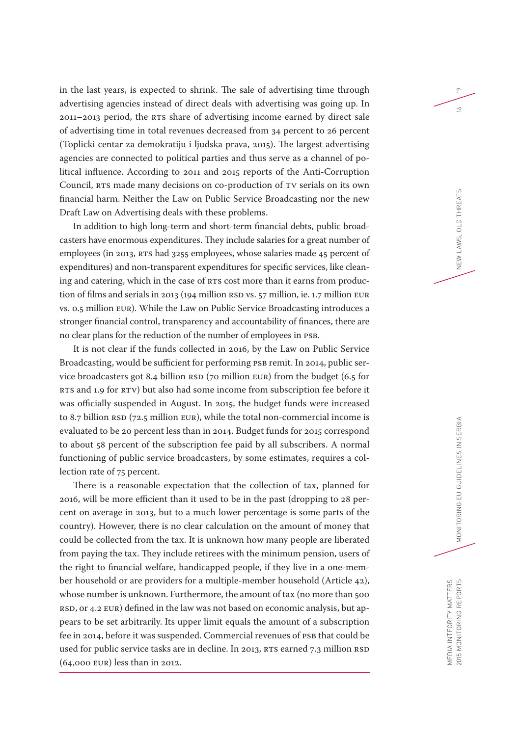in the last years, is expected to shrink. The sale of advertising time through advertising agencies instead of direct deals with advertising was going up. In 2011–2013 period, the RTS share of advertising income earned by direct sale of advertising time in total revenues decreased from 34 percent to 26 percent (Toplicki centar za demokratiju i ljudska prava, 2015). The largest advertising agencies are connected to political parties and thus serve as a channel of political influence. According to 2011 and 2015 reports of the Anti-Corruption Council, RTS made many decisions on co-production of TV serials on its own financial harm. Neither the Law on Public Service Broadcasting nor the new Draft Law on Advertising deals with these problems.

In addition to high long-term and short-term financial debts, public broadcasters have enormous expenditures. They include salaries for a great number of employees (in 2013, RTS had 3255 employees, whose salaries made 45 percent of expenditures) and non-transparent expenditures for specific services, like cleaning and catering, which in the case of RTS cost more than it earns from production of films and serials in 2013 (194 million RSD vs. 57 million, ie. 1.7 million EUR vs. 0.5 million EUR). While the Law on Public Service Broadcasting introduces a stronger financial control, transparency and accountability of finances, there are no clear plans for the reduction of the number of employees in PSB.

It is not clear if the funds collected in 2016, by the Law on Public Service Broadcasting, would be sufficient for performing PSB remit. In 2014, public service broadcasters got 8.4 billion RSD (70 million EUR) from the budget (6.5 for RTS and 1.9 for RTV) but also had some income from subscription fee before it was officially suspended in August. In 2015, the budget funds were increased to 8.7 billion RSD (72.5 million EUR), while the total non-commercial income is evaluated to be 20 percent less than in 2014. Budget funds for 2015 correspond to about 58 percent of the subscription fee paid by all subscribers. A normal functioning of public service broadcasters, by some estimates, requires a collection rate of 75 percent.

There is a reasonable expectation that the collection of tax, planned for 2016, will be more efficient than it used to be in the past (dropping to 28 percent on average in 2013, but to a much lower percentage is some parts of the country). However, there is no clear calculation on the amount of money that could be collected from the tax. It is unknown how many people are liberated from paying the tax. They include retirees with the minimum pension, users of the right to financial welfare, handicapped people, if they live in a one-member household or are providers for a multiple-member household (Article 42), whose number is unknown. Furthermore, the amount of tax (no more than 500 RSD, or 4.2 EUR) defined in the law was not based on economic analysis, but appears to be set arbitrarily. Its upper limit equals the amount of a subscription fee in 2014, before it was suspended. Commercial revenues of PSB that could be used for public service tasks are in decline. In 2013, RTS earned 7.3 million RSD (64,000 EUR) less than in 2012.

19

 $\leq$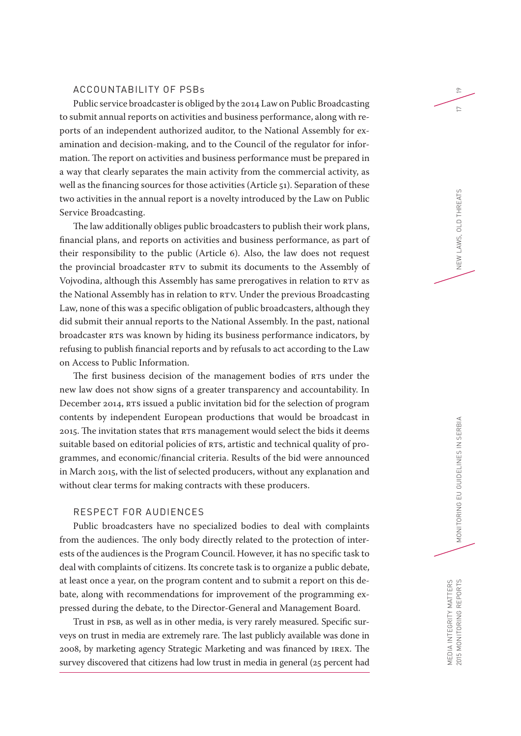#### ACCOUNTABILITY OF PSBs

Public service broadcaster is obliged by the 2014 Law on Public Broadcasting to submit annual reports on activities and business performance, along with reports of an independent authorized auditor, to the National Assembly for examination and decision-making, and to the Council of the regulator for information. The report on activities and business performance must be prepared in a way that clearly separates the main activity from the commercial activity, as well as the financing sources for those activities (Article 51). Separation of these two activities in the annual report is a novelty introduced by the Law on Public Service Broadcasting.

The law additionally obliges public broadcasters to publish their work plans, financial plans, and reports on activities and business performance, as part of their responsibility to the public (Article 6). Also, the law does not request the provincial broadcaster RTV to submit its documents to the Assembly of Vojvodina, although this Assembly has same prerogatives in relation to RTV as the National Assembly has in relation to RTV. Under the previous Broadcasting Law, none of this was a specific obligation of public broadcasters, although they did submit their annual reports to the National Assembly. In the past, national broadcaster RTS was known by hiding its business performance indicators, by refusing to publish financial reports and by refusals to act according to the Law on Access to Public Information.

The first business decision of the management bodies of RTS under the new law does not show signs of a greater transparency and accountability. In December 2014, RTS issued a public invitation bid for the selection of program contents by independent European productions that would be broadcast in 2015. The invitation states that RTS management would select the bids it deems suitable based on editorial policies of RTS, artistic and technical quality of programmes, and economic/financial criteria. Results of the bid were announced in March 2015, with the list of selected producers, without any explanation and without clear terms for making contracts with these producers.

#### RESPECT FOR AUDIENCES

Public broadcasters have no specialized bodies to deal with complaints from the audiences. The only body directly related to the protection of interests of the audiences is the Program Council. However, it has no specific task to deal with complaints of citizens. Its concrete task is to organize a public debate, at least once a year, on the program content and to submit a report on this debate, along with recommendations for improvement of the programming expressed during the debate, to the Director-General and Management Board.

Trust in PSB, as well as in other media, is very rarely measured. Specific surveys on trust in media are extremely rare. The last publicly available was done in 2008, by marketing agency Strategic Marketing and was financed by IREX. The survey discovered that citizens had low trust in media in general (25 percent had

19

 $\sim$ 

MEDIA INTEGRITY MATTERS

MEDIA INTEGRITY MATTERS<br>2015 MONITORING REPORTS

MONITORING EU GUIDELINES IN SERBIA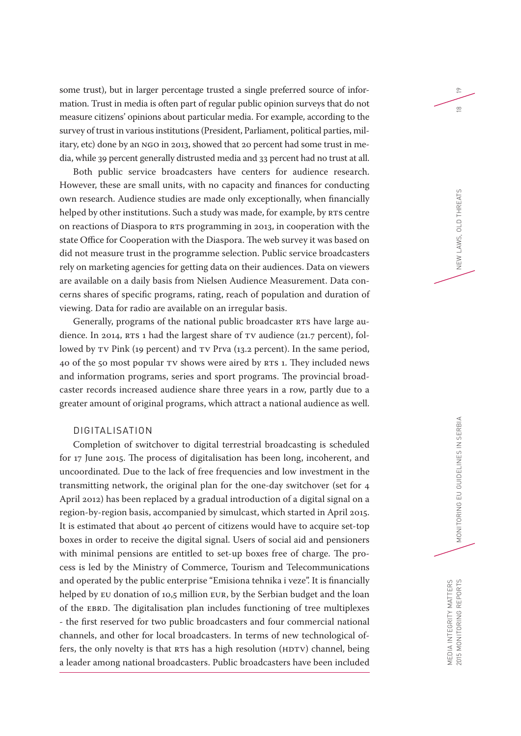some trust), but in larger percentage trusted a single preferred source of information. Trust in media is often part of regular public opinion surveys that do not measure citizens' opinions about particular media. For example, according to the survey of trust in various institutions (President, Parliament, political parties, military, etc) done by an NGO in 2013, showed that 20 percent had some trust in media, while 39 percent generally distrusted media and 33 percent had no trust at all.

Both public service broadcasters have centers for audience research. However, these are small units, with no capacity and finances for conducting own research. Audience studies are made only exceptionally, when financially helped by other institutions. Such a study was made, for example, by RTS centre on reactions of Diaspora to RTS programming in 2013, in cooperation with the state Office for Cooperation with the Diaspora. The web survey it was based on did not measure trust in the programme selection. Public service broadcasters rely on marketing agencies for getting data on their audiences. Data on viewers are available on a daily basis from Nielsen Audience Measurement. Data concerns shares of specific programs, rating, reach of population and duration of viewing. Data for radio are available on an irregular basis.

Generally, programs of the national public broadcaster RTS have large audience. In 2014, RTS 1 had the largest share of TV audience (21.7 percent), followed by TV Pink (19 percent) and TV Prva (13.2 percent). In the same period, 40 of the 50 most popular TV shows were aired by RTS 1. They included news and information programs, series and sport programs. The provincial broadcaster records increased audience share three years in a row, partly due to a greater amount of original programs, which attract a national audience as well.

#### DIGITALISATION

Completion of switchover to digital terrestrial broadcasting is scheduled for 17 June 2015. The process of digitalisation has been long, incoherent, and uncoordinated. Due to the lack of free frequencies and low investment in the transmitting network, the original plan for the one-day switchover (set for 4 April 2012) has been replaced by a gradual introduction of a digital signal on a region-by-region basis, accompanied by simulcast, which started in April 2015. It is estimated that about 40 percent of citizens would have to acquire set-top boxes in order to receive the digital signal. Users of social aid and pensioners with minimal pensions are entitled to set-up boxes free of charge. The process is led by the Ministry of Commerce, Tourism and Telecommunications and operated by the public enterprise "Emisiona tehnika i veze". It is financially helped by EU donation of 10,5 million EUR, by the Serbian budget and the loan of the EBRD. The digitalisation plan includes functioning of tree multiplexes - the first reserved for two public broadcasters and four commercial national channels, and other for local broadcasters. In terms of new technological offers, the only novelty is that RTS has a high resolution (HDTV) channel, being a leader among national broadcasters. Public broadcasters have been included

19

 $\frac{\infty}{2}$ 

MEDIA INTEGRITY MATTERS

MEDIA INTEGRITY MATTERS<br>2015 MONITORING REPORTS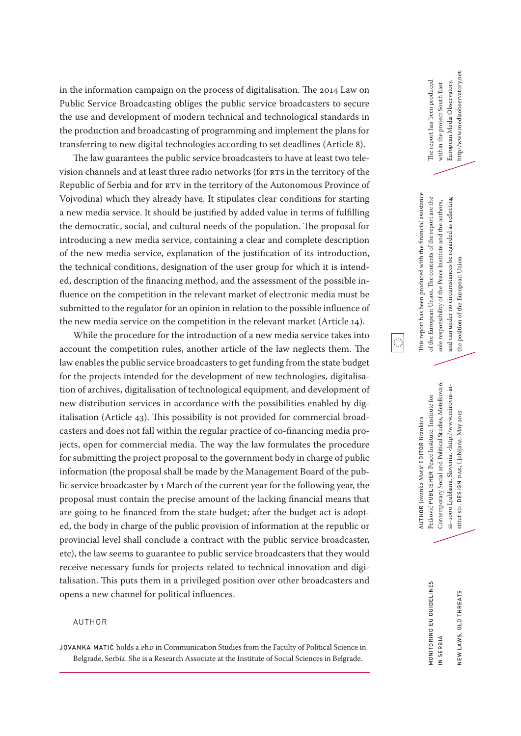in the information campaign on the process of digitalisation. The 2014 Law on Public Service Broadcasting obliges the public service broadcasters to secure the use and development of modern technical and technological standards in the production and broadcasting of programming and implement the plans for transferring to new digital technologies according to set deadlines (Article 8).

The law guarantees the public service broadcasters to have at least two television channels and at least three radio networks (for RTS in the territory of the Republic of Serbia and for RTV in the territory of the Autonomous Province of Vojvodina) which they already have. It stipulates clear conditions for starting a new media service. It should be justified by added value in terms of fulfilling the democratic, social, and cultural needs of the population. The proposal for introducing a new media service, containing a clear and complete description of the new media service, explanation of the justification of its introduction, the technical conditions, designation of the user group for which it is intended, description of the financing method, and the assessment of the possible influence on the competition in the relevant market of electronic media must be submitted to the regulator for an opinion in relation to the possible influence of the new media service on the competition in the relevant market (Article 14).

While the procedure for the introduction of a new media service takes into account the competition rules, another article of the law neglects them. The law enables the public service broadcasters to get funding from the state budget for the projects intended for the development of new technologies, digitalisation of archives, digitalisation of technological equipment, and development of new distribution services in accordance with the possibilities enabled by digitalisation (Article 43). This possibility is not provided for commercial broadcasters and does not fall within the regular practice of co-financing media projects, open for commercial media. The way the law formulates the procedure for submitting the project proposal to the government body in charge of public information (the proposal shall be made by the Management Board of the public service broadcaster by 1 March of the current year for the following year, the proposal must contain the precise amount of the lacking financial means that are going to be financed from the state budget; after the budget act is adopted, the body in charge of the public provision of information at the republic or provincial level shall conclude a contract with the public service broadcaster, etc), the law seems to guarantee to public service broadcasters that they would receive necessary funds for projects related to technical innovation and digitalisation. This puts them in a privileged position over other broadcasters and opens a new channel for political influences.

#### AUTHOR

JOVANKA MATIĆ holds a PhD in Communication Studies from the Faculty of Political Science in Belgrade, Serbia. She is a Research Associate at the Institute of Social Sciences in Belgrade.

http//www.mediaobservatory.net. http//www.mediaobservatory.net. European Media Observatory, The report has been produced European Media Observatory, The report has been produced within the project South East within the project South East

This report has been produced with the financial assistance This report has been produced with the financial assistance of the European Union. The contents of the report are the of the European Union. The contents of the report are the and can under no circumstances be regarded as reflecting and can under no circumstances be regarded as reflecting sole responsibility of the Peace Institute and the authors, sole responsibility of the Peace Institute and the authors, the position of the European Union. the position of the European Union.

 $\ddot{\mathbb{C}}$ 

Contemporary Social and Political Studies, Metelkova 6, Contemporary Social and Political Studies, Metelkova 6, s1-1000 Ljubljana, Slovenia, <http://www.mirovni-in-SI–1000 Ljubljana, Slovenia, <http://www.mirovni-in-Petković PUBLISHER Peace Institute, Institute for Petković PUBLISHER Peace Institute, Institute for stitut.si>. DESIGN DAK, Ljubljana, May 2015 stitut.si>. DESIGN DAK, Ljubljana, May 2015 AUTHOR Jovanka Matić EDITOR Brankica AUTHOR Jovanka Matić EDITOR Brankica

NEW LAWS, OLD THREATS

NEW LAWS, OLD THREATS

MONITORING EU GUIDELINES

*AONITORING EU GUIDELINES*